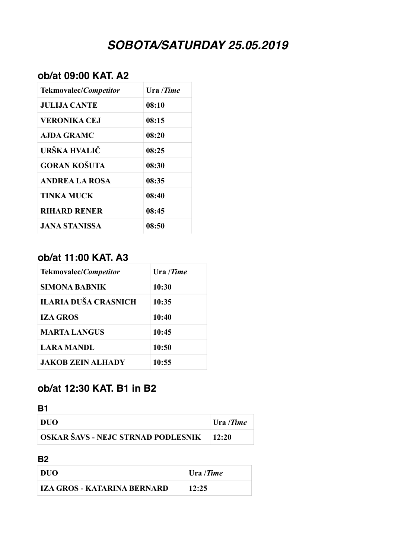# *SOBOTA/SATURDAY 25.05.2019*

### **ob/at 09:00 KAT. A2**

| Tekmovalec/ <i>Competitor</i> | Ura / <i>Time</i> |
|-------------------------------|-------------------|
| <b>JULIJA CANTE</b>           | 08:10             |
| <b>VERONIKA CEJ</b>           | 08:15             |
| AJDA GRAMC                    | 08:20             |
| URŠKA HVALIČ                  | 08:25             |
| <b>GORAN KOŠUTA</b>           | 08:30             |
| ANDREA LA ROSA                | 08:35             |
| TINKA MUCK                    | 08:40             |
| <b>RIHARD RENER</b>           | 08:45             |
| JANA STANISSA                 | 08:50             |

#### **ob/at 11:00 KAT. A3**

| Tekmovalec/ <i>Competitor</i> | Ura/Time |
|-------------------------------|----------|
| SIMONA BABNIK                 | 10:30    |
| <b>ILARIA DUŠA CRASNICH</b>   | 10:35    |
| <b>IZA GROS</b>               | 10:40    |
| <b>MARTA LANGUS</b>           | 10:45    |
| <b>LARA MANDL</b>             | 10:50    |
| <b>JAKOB ZEIN ALHADY</b>      | 10:55    |

### **ob/at 12:30 KAT. B1 in B2**

| ۰.<br>٧ |  |
|---------|--|

| <b>DUO</b>                                      | $ $ Ura / <i>Time</i> |
|-------------------------------------------------|-----------------------|
| <b>OSKAR ŠAVS - NEJC STRNAD PODLESNIK</b> 12:20 |                       |

#### **B2**

| DUO                         | $ $ Ura / <i>Time</i> |
|-----------------------------|-----------------------|
| IZA GROS - KATARINA BERNARD | 12:25                 |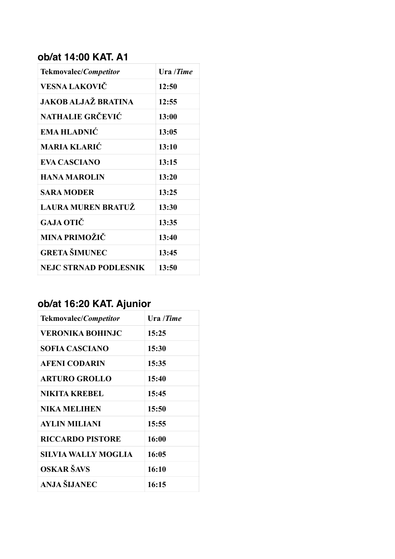# **ob/at 14:00 KAT. A1**

| Tekmovalec/Competitor        | Ura /Time |
|------------------------------|-----------|
| VESNA LAKOVIČ                | 12:50     |
| JAKOB ALJAŽ BRATINA          | 12:55     |
| <b>NATHALIE GRČEVIĆ</b>      | 13:00     |
| <b>EMA HLADNIĆ</b>           | 13:05     |
| <b>MARIA KLARIĆ</b>          | 13:10     |
| <b>EVA CASCIANO</b>          | 13:15     |
| <b>HANA MAROLIN</b>          | 13:20     |
| <b>SARA MODER</b>            | 13:25     |
| <b>LAURA MUREN BRATUŽ</b>    | 13:30     |
| GAJA OTIČ                    | 13:35     |
| MINA PRIMOŽIČ                | 13:40     |
| <b>GRETA ŠIMUNEC</b>         | 13:45     |
| <b>NEJC STRNAD PODLESNIK</b> | 13:50     |

# **ob/at 16:20 KAT. Ajunior**

| <b>Tekmovalec/Competitor</b> | Ura /Time |
|------------------------------|-----------|
| <b>VERONIKA BOHINJC</b>      | 15:25     |
| <b>SOFIA CASCIANO</b>        | 15:30     |
| <b>AFENI CODARIN</b>         | 15:35     |
| <b>ARTURO GROLLO</b>         | 15:40     |
| NIKITA KREBEL                | 15:45     |
| <b>NIKA MELIHEN</b>          | 15:50     |
| <b>AYLIN MILIANI</b>         | 15:55     |
| <b>RICCARDO PISTORE</b>      | 16:00     |
| SILVIA WALLY MOGLIA          | 16:05     |
| OSKAR ŠAVS                   | 16:10     |
| ANJA ŠLJANEC                 | 16:15     |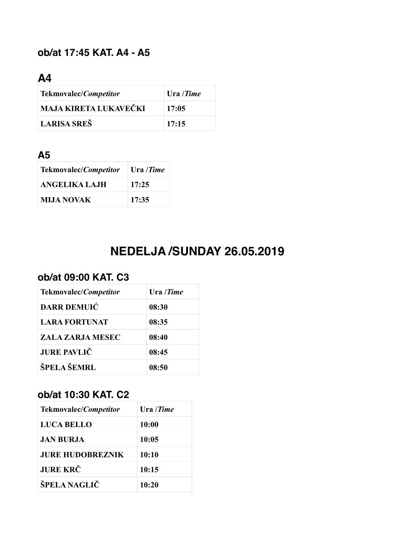# **ob/at 17:45 KAT. A4 - A5**

# **A4**

| Tekmovalec/Competitor | Ura /Time |
|-----------------------|-----------|
| MAJA KIRETA LUKAVEČKI | 17:05     |
| LARISA SREŠ           | 17:15     |

### **A5**

| Tekmovalec/ <i>Competitor</i> | Ura / <i>Time</i> |
|-------------------------------|-------------------|
| ANGELIKA LAJH                 | 17:25             |
| <b>MIJA NOVAK</b>             | 17:35             |

# **NEDELJA /SUNDAY 26.05.2019**

### **ob/at 09:00 KAT. C3**

| Tekmovalec/ <i>Competitor</i> | Ura / <i>Time</i> |
|-------------------------------|-------------------|
| <b>DARR DEMUIC</b>            | 08:30             |
| <b>LARA FORTUNAT</b>          | 08:35             |
| ZALA ZARJA MESEC              | 08:40             |
| <b>JURE PAVLIČ</b>            | 08:45             |
| ŠPELA ŠEMRL                   | 08:50             |

# **ob/at 10:30 KAT. C2**

| Tekmovalec/ <i>Competitor</i> | Ura / <i>Time</i> |
|-------------------------------|-------------------|
| <b>LUCA BELLO</b>             | 10:00             |
| JAN BURJA                     | 10:05             |
| <b>JURE HUDOBREZNIK</b>       | 10:10             |
| <b>JURE KRČ</b>               | 10:15             |
| ŠPELA NAGLIČ                  | 10:20             |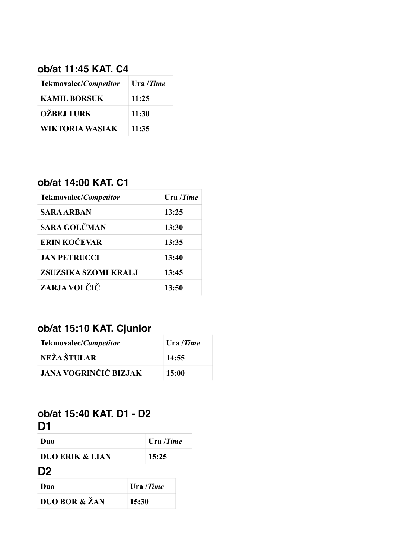### **ob/at 11:45 KAT. C4**

| Tekmovalec/Competitor  | Ura /Time |
|------------------------|-----------|
| <b>KAMIL BORSUK</b>    | 11:25     |
| <b>OŽBEJ TURK</b>      | 11:30     |
| <b>WIKTORIA WASIAK</b> | 11:35     |

# **ob/at 14:00 KAT. C1**

| <b>Tekmovalec/Competitor</b> | Ura/Time |
|------------------------------|----------|
| SARA ARBAN                   | 13:25    |
| <b>SARA GOLČMAN</b>          | 13:30    |
| ERIN KOČEVAR                 | 13:35    |
| <b>JAN PETRUCCI</b>          | 13:40    |
| ZSUZSIKA SZOMI KRALJ         | 13:45    |
| ZARJA VOLČIČ                 | 13:50    |

# **ob/at 15:10 KAT. Cjunior**

| Tekmovalec/Competitor        | Ura /Time |
|------------------------------|-----------|
| <b>NEŽA ŠTULAR</b>           | 14:55     |
| <b>JANA VOGRINČIČ BIZJAK</b> | 15:00     |

#### **ob/at 15:40 KAT. D1 - D2 D1**

| Duo                        | Ura / <i>Time</i> |
|----------------------------|-------------------|
| <b>DUO ERIK &amp; LIAN</b> | 15:25             |
| D <sub>2</sub>             |                   |

| Duo           | Ura / <i>Time</i> |
|---------------|-------------------|
| DUO BOR & ŽAN | 15:30             |